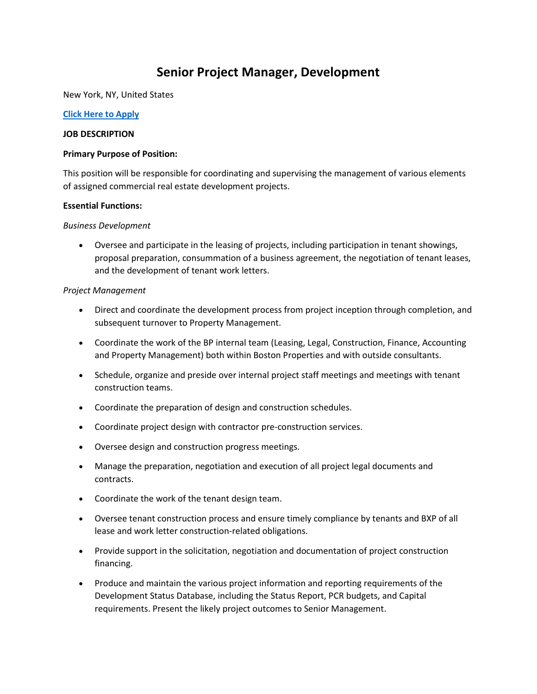# **Senior Project Manager, Development**

New York, NY, United States

#### **[Click Here to Apply](https://edxn.fa.us2.oraclecloud.com/hcmUI/CandidateExperience/en/sites/CX_4001/requisitions/preview/22080/?keyword=Senior+Project+Manager%2C+Development&mode=location)**

#### **JOB DESCRIPTION**

#### **Primary Purpose of Position:**

This position will be responsible for coordinating and supervising the management of various elements of assigned commercial real estate development projects.

#### **Essential Functions:**

#### *Business Development*

• Oversee and participate in the leasing of projects, including participation in tenant showings, proposal preparation, consummation of a business agreement, the negotiation of tenant leases, and the development of tenant work letters.

## *Project Management*

- Direct and coordinate the development process from project inception through completion, and subsequent turnover to Property Management.
- Coordinate the work of the BP internal team (Leasing, Legal, Construction, Finance, Accounting and Property Management) both within Boston Properties and with outside consultants.
- Schedule, organize and preside over internal project staff meetings and meetings with tenant construction teams.
- Coordinate the preparation of design and construction schedules.
- Coordinate project design with contractor pre-construction services.
- Oversee design and construction progress meetings.
- Manage the preparation, negotiation and execution of all project legal documents and contracts.
- Coordinate the work of the tenant design team.
- Oversee tenant construction process and ensure timely compliance by tenants and BXP of all lease and work letter construction-related obligations.
- Provide support in the solicitation, negotiation and documentation of project construction financing.
- Produce and maintain the various project information and reporting requirements of the Development Status Database, including the Status Report, PCR budgets, and Capital requirements. Present the likely project outcomes to Senior Management.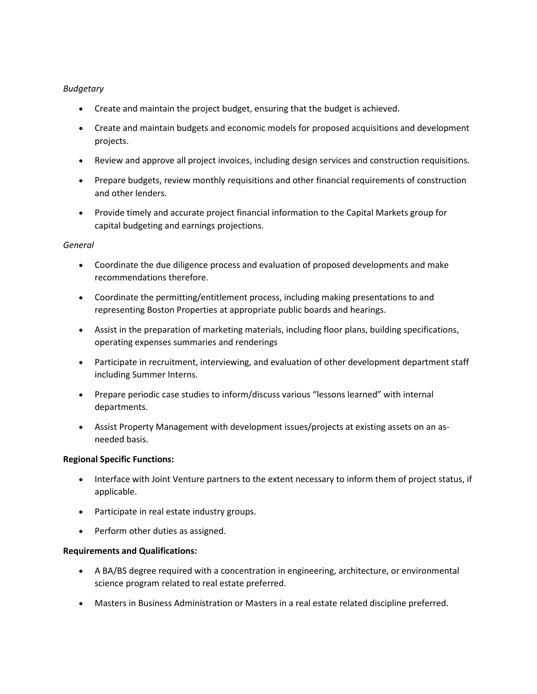## *Budgetary*

- Create and maintain the project budget, ensuring that the budget is achieved.
- Create and maintain budgets and economic models for proposed acquisitions and development projects.
- Review and approve all project invoices, including design services and construction requisitions.
- Prepare budgets, review monthly requisitions and other financial requirements of construction and other lenders.
- Provide timely and accurate project financial information to the Capital Markets group for capital budgeting and earnings projections.

## *General*

- Coordinate the due diligence process and evaluation of proposed developments and make recommendations therefore.
- Coordinate the permitting/entitlement process, including making presentations to and representing Boston Properties at appropriate public boards and hearings.
- Assist in the preparation of marketing materials, including floor plans, building specifications, operating expenses summaries and renderings
- Participate in recruitment, interviewing, and evaluation of other development department staff including Summer Interns.
- Prepare periodic case studies to inform/discuss various "lessons learned" with internal departments.
- Assist Property Management with development issues/projects at existing assets on an asneeded basis.

## **Regional Specific Functions:**

- Interface with Joint Venture partners to the extent necessary to inform them of project status, if applicable.
- Participate in real estate industry groups.
- Perform other duties as assigned.

## **Requirements and Qualifications:**

- A BA/BS degree required with a concentration in engineering, architecture, or environmental science program related to real estate preferred.
- Masters in Business Administration or Masters in a real estate related discipline preferred.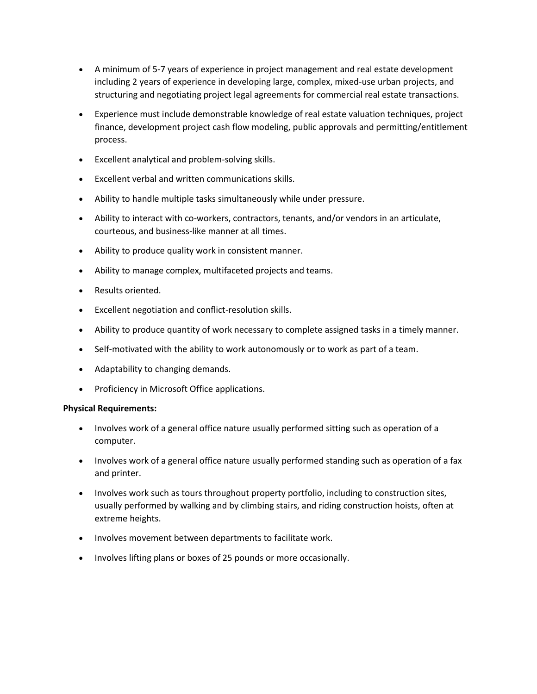- A minimum of 5-7 years of experience in project management and real estate development including 2 years of experience in developing large, complex, mixed-use urban projects, and structuring and negotiating project legal agreements for commercial real estate transactions.
- Experience must include demonstrable knowledge of real estate valuation techniques, project finance, development project cash flow modeling, public approvals and permitting/entitlement process.
- Excellent analytical and problem-solving skills.
- Excellent verbal and written communications skills.
- Ability to handle multiple tasks simultaneously while under pressure.
- Ability to interact with co-workers, contractors, tenants, and/or vendors in an articulate, courteous, and business-like manner at all times.
- Ability to produce quality work in consistent manner.
- Ability to manage complex, multifaceted projects and teams.
- Results oriented.
- Excellent negotiation and conflict-resolution skills.
- Ability to produce quantity of work necessary to complete assigned tasks in a timely manner.
- Self-motivated with the ability to work autonomously or to work as part of a team.
- Adaptability to changing demands.
- Proficiency in Microsoft Office applications.

## **Physical Requirements:**

- Involves work of a general office nature usually performed sitting such as operation of a computer.
- Involves work of a general office nature usually performed standing such as operation of a fax and printer.
- Involves work such as tours throughout property portfolio, including to construction sites, usually performed by walking and by climbing stairs, and riding construction hoists, often at extreme heights.
- Involves movement between departments to facilitate work.
- Involves lifting plans or boxes of 25 pounds or more occasionally.